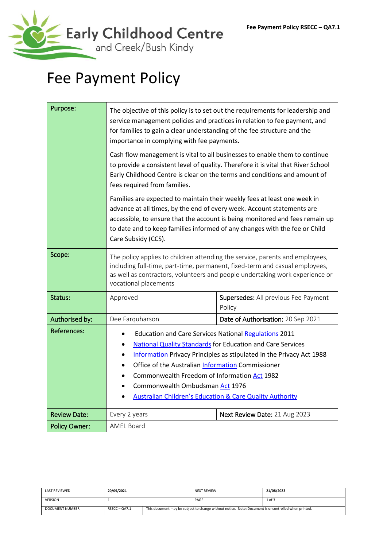

# Fee Payment Policy

| Purpose:             | The objective of this policy is to set out the requirements for leadership and<br>service management policies and practices in relation to fee payment, and<br>for families to gain a clear understanding of the fee structure and the<br>importance in complying with fee payments.                                                                                                                                     |                                    |  |  |
|----------------------|--------------------------------------------------------------------------------------------------------------------------------------------------------------------------------------------------------------------------------------------------------------------------------------------------------------------------------------------------------------------------------------------------------------------------|------------------------------------|--|--|
|                      | Cash flow management is vital to all businesses to enable them to continue<br>to provide a consistent level of quality. Therefore it is vital that River School<br>Early Childhood Centre is clear on the terms and conditions and amount of<br>fees required from families.                                                                                                                                             |                                    |  |  |
|                      | Families are expected to maintain their weekly fees at least one week in<br>advance at all times, by the end of every week. Account statements are<br>accessible, to ensure that the account is being monitored and fees remain up<br>to date and to keep families informed of any changes with the fee or Child<br>Care Subsidy (CCS).                                                                                  |                                    |  |  |
| Scope:               | The policy applies to children attending the service, parents and employees,<br>including full-time, part-time, permanent, fixed-term and casual employees,<br>as well as contractors, volunteers and people undertaking work experience or<br>vocational placements                                                                                                                                                     |                                    |  |  |
| Status:              | Supersedes: All previous Fee Payment<br>Approved<br>Policy                                                                                                                                                                                                                                                                                                                                                               |                                    |  |  |
| Authorised by:       | Dee Farquharson                                                                                                                                                                                                                                                                                                                                                                                                          | Date of Authorisation: 20 Sep 2021 |  |  |
| <b>References:</b>   | <b>Education and Care Services National Regulations 2011</b><br><b>National Quality Standards for Education and Care Services</b><br>Information Privacy Principles as stipulated in the Privacy Act 1988<br>Office of the Australian Information Commissioner<br>Commonwealth Freedom of Information Act 1982<br>Commonwealth Ombudsman Act 1976<br><b>Australian Children's Education &amp; Care Quality Authority</b> |                                    |  |  |
| <b>Review Date:</b>  | Every 2 years                                                                                                                                                                                                                                                                                                                                                                                                            | Next Review Date: 21 Aug 2023      |  |  |
| <b>Policy Owner:</b> | <b>AMEL Board</b>                                                                                                                                                                                                                                                                                                                                                                                                        |                                    |  |  |

| <b>LAST REVIEWED</b> | 20/09/2021      |                                                                                                     | <b>NEXT REVIEW</b> | 21/08/2023 |
|----------------------|-----------------|-----------------------------------------------------------------------------------------------------|--------------------|------------|
| <b>VERSION</b>       |                 |                                                                                                     | PAGE               | 1 of 3     |
| DOCUMENT NUMBER      | $RSECC - OA7.1$ | This document may be subject to change without notice. Note: Document is uncontrolled when printed. |                    |            |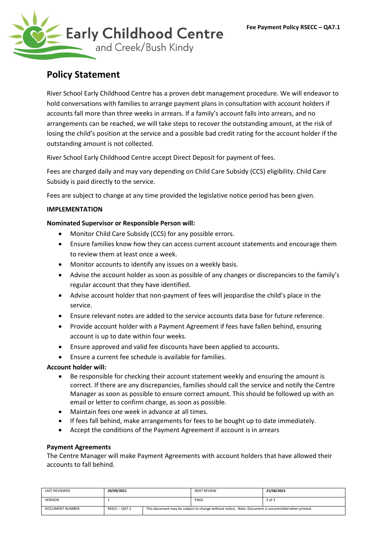

# **Policy Statement**

River School Early Childhood Centre has a proven debt management procedure. We will endeavor to hold conversations with families to arrange payment plans in consultation with account holders if accounts fall more than three weeks in arrears. If a family's account falls into arrears, and no arrangements can be reached, we will take steps to recover the outstanding amount, at the risk of losing the child's position at the service and a possible bad credit rating for the account holder if the outstanding amount is not collected.

River School Early Childhood Centre accept Direct Deposit for payment of fees.

Fees are charged daily and may vary depending on Child Care Subsidy (CCS) eligibility. Child Care Subsidy is paid directly to the service.

Fees are subject to change at any time provided the legislative notice period has been given.

# **IMPLEMENTATION**

# **Nominated Supervisor or Responsible Person will:**

- Monitor Child Care Subsidy (CCS) for any possible errors.
- Ensure families know how they can access current account statements and encourage them to review them at least once a week.
- Monitor accounts to identify any issues on a weekly basis.
- Advise the account holder as soon as possible of any changes or discrepancies to the family's regular account that they have identified.
- Advise account holder that non-payment of fees will jeopardise the child's place in the service.
- Ensure relevant notes are added to the service accounts data base for future reference.
- Provide account holder with a Payment Agreement if fees have fallen behind, ensuring account is up to date within four weeks.
- Ensure approved and valid fee discounts have been applied to accounts.
- Ensure a current fee schedule is available for families.

#### **Account holder will:**

- Be responsible for checking their account statement weekly and ensuring the amount is correct. If there are any discrepancies, families should call the service and notify the Centre Manager as soon as possible to ensure correct amount. This should be followed up with an email or letter to confirm change, as soon as possible.
- Maintain fees one week in advance at all times.
- If fees fall behind, make arrangements for fees to be bought up to date immediately.
- Accept the conditions of the Payment Agreement if account is in arrears

#### **Payment Agreements**

The Centre Manager will make Payment Agreements with account holders that have allowed their accounts to fall behind.

| <b>LAST REVIEWED</b> | 20/09/2021    |                                                                                                     | <b>NEXT REVIEW</b> | 21/08/2023 |
|----------------------|---------------|-----------------------------------------------------------------------------------------------------|--------------------|------------|
| <b>VERSION</b>       |               |                                                                                                     | PAGE               | 2 of 3     |
| DOCUMENT NUMBER      | $RSECC-OA7.1$ | This document may be subject to change without notice. Note: Document is uncontrolled when printed. |                    |            |